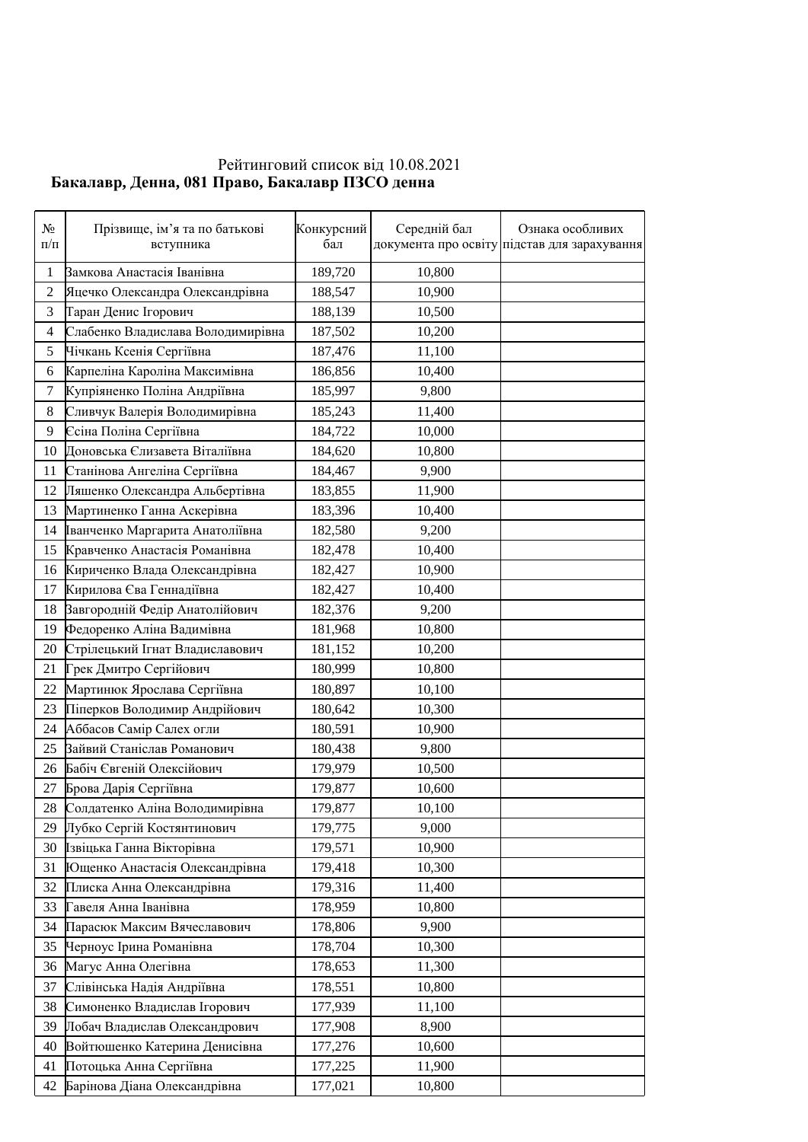## Рейтинговий список від 10.08.2021 **Ъакалавр, Денна, 081 Право, Бакалавр ПЗСО денна**

| $N_2$<br>$\Pi/\Pi$ | Прізвище, ім'я та по батькові<br>вступника | Конкурсний<br>бал | Середній бал | Ознака особливих<br>документа про освіту підстав для зарахування |
|--------------------|--------------------------------------------|-------------------|--------------|------------------------------------------------------------------|
| 1                  | Замкова Анастасія Іванівна                 | 189,720           | 10,800       |                                                                  |
| $\mathbf{2}$       | Яцечко Олександра Олександрівна            | 188,547           | 10,900       |                                                                  |
| 3                  | Таран Денис Ігорович                       | 188,139           | 10,500       |                                                                  |
| 4                  | Слабенко Владислава Володимирівна          | 187,502           | 10,200       |                                                                  |
| 5                  | Чічкань Ксенія Сергіївна                   | 187,476           | 11,100       |                                                                  |
| 6                  | Карпеліна Кароліна Максимівна              | 186,856           | 10,400       |                                                                  |
| $\boldsymbol{7}$   | Купріяненко Поліна Андріївна               | 185,997           | 9,800        |                                                                  |
| 8                  | Сливчук Валерія Володимирівна              | 185,243           | 11,400       |                                                                  |
| 9                  | Єсіна Поліна Сергіївна                     | 184,722           | 10,000       |                                                                  |
| 10                 | Доновська Єлизавета Віталіївна             | 184,620           | 10,800       |                                                                  |
| 11                 | Станінова Ангеліна Сергіївна               | 184,467           | 9,900        |                                                                  |
| 12                 | Ляшенко Олександра Альбертівна             | 183,855           | 11,900       |                                                                  |
| 13                 | Мартиненко Ганна Аскерівна                 | 183,396           | 10,400       |                                                                  |
| 14                 | Іванченко Маргарита Анатоліївна            | 182,580           | 9,200        |                                                                  |
| 15                 | Кравченко Анастасія Романівна              | 182,478           | 10,400       |                                                                  |
| 16                 | Кириченко Влада Олександрівна              | 182,427           | 10,900       |                                                                  |
| 17                 | Кирилова Єва Геннадіївна                   | 182,427           | 10,400       |                                                                  |
| 18                 | Завгородній Федір Анатолійович             | 182,376           | 9,200        |                                                                  |
| 19                 | Федоренко Аліна Вадимівна                  | 181,968           | 10,800       |                                                                  |
| 20                 | Стрілецький Ігнат Владиславович            | 181,152           | 10,200       |                                                                  |
| 21                 | Грек Дмитро Сергійович                     | 180,999           | 10,800       |                                                                  |
| 22                 | Мартинюк Ярослава Сергіївна                | 180,897           | 10,100       |                                                                  |
| 23                 | Піперков Володимир Андрійович              | 180,642           | 10,300       |                                                                  |
| 24                 | Аббасов Самір Салех огли                   | 180,591           | 10,900       |                                                                  |
| 25                 | Зайвий Станіслав Романович                 | 180,438           | 9,800        |                                                                  |
| 26                 | Бабіч Євгеній Олексійович                  | 179,979           | 10,500       |                                                                  |
| 27                 | Брова Дарія Сергіївна                      | 179,877           | 10,600       |                                                                  |
| 28                 | Солдатенко Аліна Володимирівна             | 179,877           | 10,100       |                                                                  |
| 29                 | Лубко Сергій Костянтинович                 | 179,775           | 9,000        |                                                                  |
| 30                 | Ізвіцька Ганна Вікторівна                  | 179,571           | 10,900       |                                                                  |
| 31                 | Ющенко Анастасія Олександрівна             | 179,418           | 10,300       |                                                                  |
| 32                 | Плиска Анна Олександрівна                  | 179,316           | 11,400       |                                                                  |
| 33                 | Гавеля Анна Іванівна                       | 178,959           | 10,800       |                                                                  |
| 34                 | Парасюк Максим Вячеславович                | 178,806           | 9,900        |                                                                  |
| 35                 | Черноус Ірина Романівна                    | 178,704           | 10,300       |                                                                  |
| 36                 | Магус Анна Олегівна                        | 178,653           | 11,300       |                                                                  |
| 37                 | Слівінська Надія Андріївна                 | 178,551           | 10,800       |                                                                  |
| 38                 | Симоненко Владислав Ігорович               | 177,939           | 11,100       |                                                                  |
| 39                 | Лобач Владислав Олександрович              | 177,908           | 8,900        |                                                                  |
| 40                 | Войтюшенко Катерина Денисівна              | 177,276           | 10,600       |                                                                  |
| 41                 | Потоцька Анна Сергіївна                    | 177,225           | 11,900       |                                                                  |
| 42                 | Барінова Діана Олександрівна               | 177,021           | 10,800       |                                                                  |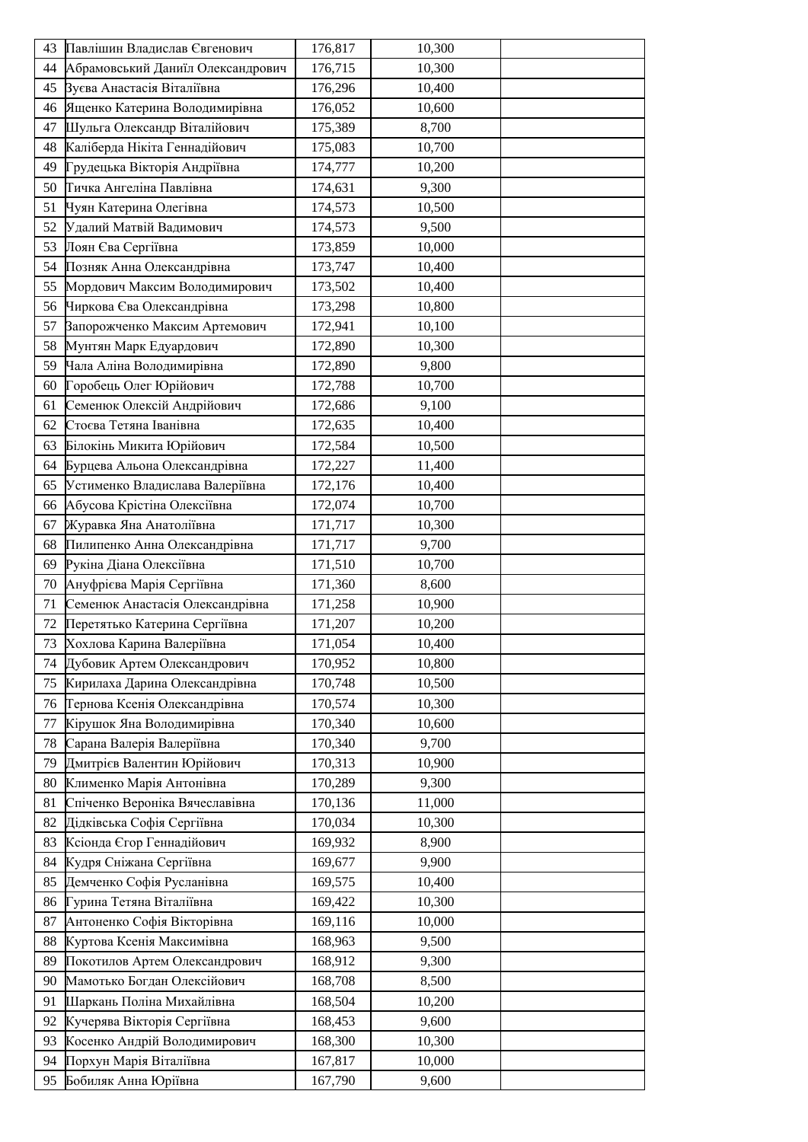| Абрамовський Даниїл Олександрович<br>176,715<br>10,300<br>44<br>Вуєва Анастасія Віталіївна<br>176,296<br>10,400<br>45<br>Ященко Катерина Володимирівна<br>176,052<br>10,600<br>46<br>Шульга Олександр Віталійович<br>47<br>175,389<br>8,700<br>Каліберда Нікіта Геннадійович<br>48<br>175,083<br>10,700<br>Грудецька Вікторія Андріївна<br>49<br>174,777<br>10,200<br>Тичка Ангеліна Павлівна<br>50<br>174,631<br>9,300<br>Чуян Катерина Олегівна<br>174,573<br>10,500<br>51<br>Удалий Матвій Вадимович<br>174,573<br>9,500<br>52<br>Лоян Єва Сергіївна<br>173,859<br>10,000<br>53<br>54<br>Позняк Анна Олександрівна<br>173,747<br>10,400<br>Мордович Максим Володимирович<br>10,400<br>55<br>173,502<br>Чиркова Єва Олександрівна<br>173,298<br>10,800<br>56<br>Запорожченко Максим Артемович<br>57<br>10,100<br>172,941<br>Мунтян Марк Едуардович<br>10,300<br>58<br>172,890<br>Чала Аліна Володимирівна<br>59<br>172,890<br>9,800<br>Горобець Олег Юрійович<br>172,788<br>10,700<br>60<br>Семенюк Олексій Андрійович<br>172,686<br>9,100<br>61<br>Стоєва Тетяна Іванівна<br>172,635<br>10,400<br>62<br>Білокінь Микита Юрійович<br>172,584<br>10,500<br>63<br>Бурцева Альона Олександрівна<br>172,227<br>11,400<br>64<br>Устименко Владислава Валеріївна<br>65<br>172,176<br>10,400<br>Абусова Крістіна Олексіївна<br>10,700<br>66<br>172,074<br>Журавка Яна Анатоліївна<br>171,717<br>10,300<br>67<br>Пилипенко Анна Олександрівна<br>171,717<br>9,700<br>68<br>Рукіна Діана Олексіївна<br>171,510<br>10,700<br>69<br>70<br>Ануфрієва Марія Сергіївна<br>171,360<br>8,600<br>Семенюк Анастасія Олександрівна<br>10,900<br>71<br>171,258<br>171,207<br>Перетятько Катерина Сергіївна<br>10,200<br>72<br>73 Хохлова Карина Валеріївна<br>171,054<br>10,400<br>Дубовик Артем Олександрович<br>170,952<br>10,800<br>74<br>Кирилаха Дарина Олександрівна<br>170,748<br>10,500<br>75<br>Тернова Ксенія Олександрівна<br>170,574<br>10,300<br>76<br>Кірушок Яна Володимирівна<br>170,340<br>77<br>10,600<br>Сарана Валерія Валеріївна<br>78<br>170,340<br>9,700<br>Дмитрієв Валентин Юрійович<br>79<br>170,313<br>10,900<br>Клименко Марія Антонівна<br>170,289<br>9,300<br>80<br>Спіченко Вероніка Вячеславівна<br>170,136<br>11,000<br>81<br>Дідківська Софія Сергіївна<br>82<br>170,034<br>10,300<br>Ксіонда Єгор Геннадійович<br>8,900<br>83<br>169,932<br>Кудря Сніжана Сергіївна<br>169,677<br>9,900<br>84<br>Демченко Софія Русланівна<br>85<br>169,575<br>10,400<br>Гурина Тетяна Віталіївна<br>86<br>169,422<br>10,300<br>Антоненко Софія Вікторівна<br>10,000<br>87<br>169,116<br>Куртова Ксенія Максимівна<br>88<br>168,963<br>9,500<br>89<br>Покотилов Артем Олександрович<br>168,912<br>9,300<br>Мамотько Богдан Олексійович<br>8,500<br>90<br>168,708<br>Шаркань Поліна Михайлівна<br>168,504<br>10,200<br>91<br>Кучерява Вікторія Сергіївна<br>168,453<br>9,600<br>92<br>Косенко Андрій Володимирович<br>168,300<br>93<br>10,300<br>Порхун Марія Віталіївна<br>94<br>167,817<br>10,000 | 43 | Павлішин Владислав Євгенович | 176,817 | 10,300 |  |
|-----------------------------------------------------------------------------------------------------------------------------------------------------------------------------------------------------------------------------------------------------------------------------------------------------------------------------------------------------------------------------------------------------------------------------------------------------------------------------------------------------------------------------------------------------------------------------------------------------------------------------------------------------------------------------------------------------------------------------------------------------------------------------------------------------------------------------------------------------------------------------------------------------------------------------------------------------------------------------------------------------------------------------------------------------------------------------------------------------------------------------------------------------------------------------------------------------------------------------------------------------------------------------------------------------------------------------------------------------------------------------------------------------------------------------------------------------------------------------------------------------------------------------------------------------------------------------------------------------------------------------------------------------------------------------------------------------------------------------------------------------------------------------------------------------------------------------------------------------------------------------------------------------------------------------------------------------------------------------------------------------------------------------------------------------------------------------------------------------------------------------------------------------------------------------------------------------------------------------------------------------------------------------------------------------------------------------------------------------------------------------------------------------------------------------------------------------------------------------------------------------------------------------------------------------------------------------------------------------------------------------------------------------------------------------------------------------------------------------------------------------------------------------------------------------------------------------------------------------------------------------------------------------------------------------------------------------------------------------------------------------|----|------------------------------|---------|--------|--|
|                                                                                                                                                                                                                                                                                                                                                                                                                                                                                                                                                                                                                                                                                                                                                                                                                                                                                                                                                                                                                                                                                                                                                                                                                                                                                                                                                                                                                                                                                                                                                                                                                                                                                                                                                                                                                                                                                                                                                                                                                                                                                                                                                                                                                                                                                                                                                                                                                                                                                                                                                                                                                                                                                                                                                                                                                                                                                                                                                                                                     |    |                              |         |        |  |
|                                                                                                                                                                                                                                                                                                                                                                                                                                                                                                                                                                                                                                                                                                                                                                                                                                                                                                                                                                                                                                                                                                                                                                                                                                                                                                                                                                                                                                                                                                                                                                                                                                                                                                                                                                                                                                                                                                                                                                                                                                                                                                                                                                                                                                                                                                                                                                                                                                                                                                                                                                                                                                                                                                                                                                                                                                                                                                                                                                                                     |    |                              |         |        |  |
|                                                                                                                                                                                                                                                                                                                                                                                                                                                                                                                                                                                                                                                                                                                                                                                                                                                                                                                                                                                                                                                                                                                                                                                                                                                                                                                                                                                                                                                                                                                                                                                                                                                                                                                                                                                                                                                                                                                                                                                                                                                                                                                                                                                                                                                                                                                                                                                                                                                                                                                                                                                                                                                                                                                                                                                                                                                                                                                                                                                                     |    |                              |         |        |  |
|                                                                                                                                                                                                                                                                                                                                                                                                                                                                                                                                                                                                                                                                                                                                                                                                                                                                                                                                                                                                                                                                                                                                                                                                                                                                                                                                                                                                                                                                                                                                                                                                                                                                                                                                                                                                                                                                                                                                                                                                                                                                                                                                                                                                                                                                                                                                                                                                                                                                                                                                                                                                                                                                                                                                                                                                                                                                                                                                                                                                     |    |                              |         |        |  |
|                                                                                                                                                                                                                                                                                                                                                                                                                                                                                                                                                                                                                                                                                                                                                                                                                                                                                                                                                                                                                                                                                                                                                                                                                                                                                                                                                                                                                                                                                                                                                                                                                                                                                                                                                                                                                                                                                                                                                                                                                                                                                                                                                                                                                                                                                                                                                                                                                                                                                                                                                                                                                                                                                                                                                                                                                                                                                                                                                                                                     |    |                              |         |        |  |
|                                                                                                                                                                                                                                                                                                                                                                                                                                                                                                                                                                                                                                                                                                                                                                                                                                                                                                                                                                                                                                                                                                                                                                                                                                                                                                                                                                                                                                                                                                                                                                                                                                                                                                                                                                                                                                                                                                                                                                                                                                                                                                                                                                                                                                                                                                                                                                                                                                                                                                                                                                                                                                                                                                                                                                                                                                                                                                                                                                                                     |    |                              |         |        |  |
|                                                                                                                                                                                                                                                                                                                                                                                                                                                                                                                                                                                                                                                                                                                                                                                                                                                                                                                                                                                                                                                                                                                                                                                                                                                                                                                                                                                                                                                                                                                                                                                                                                                                                                                                                                                                                                                                                                                                                                                                                                                                                                                                                                                                                                                                                                                                                                                                                                                                                                                                                                                                                                                                                                                                                                                                                                                                                                                                                                                                     |    |                              |         |        |  |
|                                                                                                                                                                                                                                                                                                                                                                                                                                                                                                                                                                                                                                                                                                                                                                                                                                                                                                                                                                                                                                                                                                                                                                                                                                                                                                                                                                                                                                                                                                                                                                                                                                                                                                                                                                                                                                                                                                                                                                                                                                                                                                                                                                                                                                                                                                                                                                                                                                                                                                                                                                                                                                                                                                                                                                                                                                                                                                                                                                                                     |    |                              |         |        |  |
|                                                                                                                                                                                                                                                                                                                                                                                                                                                                                                                                                                                                                                                                                                                                                                                                                                                                                                                                                                                                                                                                                                                                                                                                                                                                                                                                                                                                                                                                                                                                                                                                                                                                                                                                                                                                                                                                                                                                                                                                                                                                                                                                                                                                                                                                                                                                                                                                                                                                                                                                                                                                                                                                                                                                                                                                                                                                                                                                                                                                     |    |                              |         |        |  |
|                                                                                                                                                                                                                                                                                                                                                                                                                                                                                                                                                                                                                                                                                                                                                                                                                                                                                                                                                                                                                                                                                                                                                                                                                                                                                                                                                                                                                                                                                                                                                                                                                                                                                                                                                                                                                                                                                                                                                                                                                                                                                                                                                                                                                                                                                                                                                                                                                                                                                                                                                                                                                                                                                                                                                                                                                                                                                                                                                                                                     |    |                              |         |        |  |
|                                                                                                                                                                                                                                                                                                                                                                                                                                                                                                                                                                                                                                                                                                                                                                                                                                                                                                                                                                                                                                                                                                                                                                                                                                                                                                                                                                                                                                                                                                                                                                                                                                                                                                                                                                                                                                                                                                                                                                                                                                                                                                                                                                                                                                                                                                                                                                                                                                                                                                                                                                                                                                                                                                                                                                                                                                                                                                                                                                                                     |    |                              |         |        |  |
|                                                                                                                                                                                                                                                                                                                                                                                                                                                                                                                                                                                                                                                                                                                                                                                                                                                                                                                                                                                                                                                                                                                                                                                                                                                                                                                                                                                                                                                                                                                                                                                                                                                                                                                                                                                                                                                                                                                                                                                                                                                                                                                                                                                                                                                                                                                                                                                                                                                                                                                                                                                                                                                                                                                                                                                                                                                                                                                                                                                                     |    |                              |         |        |  |
|                                                                                                                                                                                                                                                                                                                                                                                                                                                                                                                                                                                                                                                                                                                                                                                                                                                                                                                                                                                                                                                                                                                                                                                                                                                                                                                                                                                                                                                                                                                                                                                                                                                                                                                                                                                                                                                                                                                                                                                                                                                                                                                                                                                                                                                                                                                                                                                                                                                                                                                                                                                                                                                                                                                                                                                                                                                                                                                                                                                                     |    |                              |         |        |  |
|                                                                                                                                                                                                                                                                                                                                                                                                                                                                                                                                                                                                                                                                                                                                                                                                                                                                                                                                                                                                                                                                                                                                                                                                                                                                                                                                                                                                                                                                                                                                                                                                                                                                                                                                                                                                                                                                                                                                                                                                                                                                                                                                                                                                                                                                                                                                                                                                                                                                                                                                                                                                                                                                                                                                                                                                                                                                                                                                                                                                     |    |                              |         |        |  |
|                                                                                                                                                                                                                                                                                                                                                                                                                                                                                                                                                                                                                                                                                                                                                                                                                                                                                                                                                                                                                                                                                                                                                                                                                                                                                                                                                                                                                                                                                                                                                                                                                                                                                                                                                                                                                                                                                                                                                                                                                                                                                                                                                                                                                                                                                                                                                                                                                                                                                                                                                                                                                                                                                                                                                                                                                                                                                                                                                                                                     |    |                              |         |        |  |
|                                                                                                                                                                                                                                                                                                                                                                                                                                                                                                                                                                                                                                                                                                                                                                                                                                                                                                                                                                                                                                                                                                                                                                                                                                                                                                                                                                                                                                                                                                                                                                                                                                                                                                                                                                                                                                                                                                                                                                                                                                                                                                                                                                                                                                                                                                                                                                                                                                                                                                                                                                                                                                                                                                                                                                                                                                                                                                                                                                                                     |    |                              |         |        |  |
|                                                                                                                                                                                                                                                                                                                                                                                                                                                                                                                                                                                                                                                                                                                                                                                                                                                                                                                                                                                                                                                                                                                                                                                                                                                                                                                                                                                                                                                                                                                                                                                                                                                                                                                                                                                                                                                                                                                                                                                                                                                                                                                                                                                                                                                                                                                                                                                                                                                                                                                                                                                                                                                                                                                                                                                                                                                                                                                                                                                                     |    |                              |         |        |  |
|                                                                                                                                                                                                                                                                                                                                                                                                                                                                                                                                                                                                                                                                                                                                                                                                                                                                                                                                                                                                                                                                                                                                                                                                                                                                                                                                                                                                                                                                                                                                                                                                                                                                                                                                                                                                                                                                                                                                                                                                                                                                                                                                                                                                                                                                                                                                                                                                                                                                                                                                                                                                                                                                                                                                                                                                                                                                                                                                                                                                     |    |                              |         |        |  |
|                                                                                                                                                                                                                                                                                                                                                                                                                                                                                                                                                                                                                                                                                                                                                                                                                                                                                                                                                                                                                                                                                                                                                                                                                                                                                                                                                                                                                                                                                                                                                                                                                                                                                                                                                                                                                                                                                                                                                                                                                                                                                                                                                                                                                                                                                                                                                                                                                                                                                                                                                                                                                                                                                                                                                                                                                                                                                                                                                                                                     |    |                              |         |        |  |
|                                                                                                                                                                                                                                                                                                                                                                                                                                                                                                                                                                                                                                                                                                                                                                                                                                                                                                                                                                                                                                                                                                                                                                                                                                                                                                                                                                                                                                                                                                                                                                                                                                                                                                                                                                                                                                                                                                                                                                                                                                                                                                                                                                                                                                                                                                                                                                                                                                                                                                                                                                                                                                                                                                                                                                                                                                                                                                                                                                                                     |    |                              |         |        |  |
|                                                                                                                                                                                                                                                                                                                                                                                                                                                                                                                                                                                                                                                                                                                                                                                                                                                                                                                                                                                                                                                                                                                                                                                                                                                                                                                                                                                                                                                                                                                                                                                                                                                                                                                                                                                                                                                                                                                                                                                                                                                                                                                                                                                                                                                                                                                                                                                                                                                                                                                                                                                                                                                                                                                                                                                                                                                                                                                                                                                                     |    |                              |         |        |  |
|                                                                                                                                                                                                                                                                                                                                                                                                                                                                                                                                                                                                                                                                                                                                                                                                                                                                                                                                                                                                                                                                                                                                                                                                                                                                                                                                                                                                                                                                                                                                                                                                                                                                                                                                                                                                                                                                                                                                                                                                                                                                                                                                                                                                                                                                                                                                                                                                                                                                                                                                                                                                                                                                                                                                                                                                                                                                                                                                                                                                     |    |                              |         |        |  |
|                                                                                                                                                                                                                                                                                                                                                                                                                                                                                                                                                                                                                                                                                                                                                                                                                                                                                                                                                                                                                                                                                                                                                                                                                                                                                                                                                                                                                                                                                                                                                                                                                                                                                                                                                                                                                                                                                                                                                                                                                                                                                                                                                                                                                                                                                                                                                                                                                                                                                                                                                                                                                                                                                                                                                                                                                                                                                                                                                                                                     |    |                              |         |        |  |
|                                                                                                                                                                                                                                                                                                                                                                                                                                                                                                                                                                                                                                                                                                                                                                                                                                                                                                                                                                                                                                                                                                                                                                                                                                                                                                                                                                                                                                                                                                                                                                                                                                                                                                                                                                                                                                                                                                                                                                                                                                                                                                                                                                                                                                                                                                                                                                                                                                                                                                                                                                                                                                                                                                                                                                                                                                                                                                                                                                                                     |    |                              |         |        |  |
|                                                                                                                                                                                                                                                                                                                                                                                                                                                                                                                                                                                                                                                                                                                                                                                                                                                                                                                                                                                                                                                                                                                                                                                                                                                                                                                                                                                                                                                                                                                                                                                                                                                                                                                                                                                                                                                                                                                                                                                                                                                                                                                                                                                                                                                                                                                                                                                                                                                                                                                                                                                                                                                                                                                                                                                                                                                                                                                                                                                                     |    |                              |         |        |  |
|                                                                                                                                                                                                                                                                                                                                                                                                                                                                                                                                                                                                                                                                                                                                                                                                                                                                                                                                                                                                                                                                                                                                                                                                                                                                                                                                                                                                                                                                                                                                                                                                                                                                                                                                                                                                                                                                                                                                                                                                                                                                                                                                                                                                                                                                                                                                                                                                                                                                                                                                                                                                                                                                                                                                                                                                                                                                                                                                                                                                     |    |                              |         |        |  |
|                                                                                                                                                                                                                                                                                                                                                                                                                                                                                                                                                                                                                                                                                                                                                                                                                                                                                                                                                                                                                                                                                                                                                                                                                                                                                                                                                                                                                                                                                                                                                                                                                                                                                                                                                                                                                                                                                                                                                                                                                                                                                                                                                                                                                                                                                                                                                                                                                                                                                                                                                                                                                                                                                                                                                                                                                                                                                                                                                                                                     |    |                              |         |        |  |
|                                                                                                                                                                                                                                                                                                                                                                                                                                                                                                                                                                                                                                                                                                                                                                                                                                                                                                                                                                                                                                                                                                                                                                                                                                                                                                                                                                                                                                                                                                                                                                                                                                                                                                                                                                                                                                                                                                                                                                                                                                                                                                                                                                                                                                                                                                                                                                                                                                                                                                                                                                                                                                                                                                                                                                                                                                                                                                                                                                                                     |    |                              |         |        |  |
|                                                                                                                                                                                                                                                                                                                                                                                                                                                                                                                                                                                                                                                                                                                                                                                                                                                                                                                                                                                                                                                                                                                                                                                                                                                                                                                                                                                                                                                                                                                                                                                                                                                                                                                                                                                                                                                                                                                                                                                                                                                                                                                                                                                                                                                                                                                                                                                                                                                                                                                                                                                                                                                                                                                                                                                                                                                                                                                                                                                                     |    |                              |         |        |  |
|                                                                                                                                                                                                                                                                                                                                                                                                                                                                                                                                                                                                                                                                                                                                                                                                                                                                                                                                                                                                                                                                                                                                                                                                                                                                                                                                                                                                                                                                                                                                                                                                                                                                                                                                                                                                                                                                                                                                                                                                                                                                                                                                                                                                                                                                                                                                                                                                                                                                                                                                                                                                                                                                                                                                                                                                                                                                                                                                                                                                     |    |                              |         |        |  |
|                                                                                                                                                                                                                                                                                                                                                                                                                                                                                                                                                                                                                                                                                                                                                                                                                                                                                                                                                                                                                                                                                                                                                                                                                                                                                                                                                                                                                                                                                                                                                                                                                                                                                                                                                                                                                                                                                                                                                                                                                                                                                                                                                                                                                                                                                                                                                                                                                                                                                                                                                                                                                                                                                                                                                                                                                                                                                                                                                                                                     |    |                              |         |        |  |
|                                                                                                                                                                                                                                                                                                                                                                                                                                                                                                                                                                                                                                                                                                                                                                                                                                                                                                                                                                                                                                                                                                                                                                                                                                                                                                                                                                                                                                                                                                                                                                                                                                                                                                                                                                                                                                                                                                                                                                                                                                                                                                                                                                                                                                                                                                                                                                                                                                                                                                                                                                                                                                                                                                                                                                                                                                                                                                                                                                                                     |    |                              |         |        |  |
|                                                                                                                                                                                                                                                                                                                                                                                                                                                                                                                                                                                                                                                                                                                                                                                                                                                                                                                                                                                                                                                                                                                                                                                                                                                                                                                                                                                                                                                                                                                                                                                                                                                                                                                                                                                                                                                                                                                                                                                                                                                                                                                                                                                                                                                                                                                                                                                                                                                                                                                                                                                                                                                                                                                                                                                                                                                                                                                                                                                                     |    |                              |         |        |  |
|                                                                                                                                                                                                                                                                                                                                                                                                                                                                                                                                                                                                                                                                                                                                                                                                                                                                                                                                                                                                                                                                                                                                                                                                                                                                                                                                                                                                                                                                                                                                                                                                                                                                                                                                                                                                                                                                                                                                                                                                                                                                                                                                                                                                                                                                                                                                                                                                                                                                                                                                                                                                                                                                                                                                                                                                                                                                                                                                                                                                     |    |                              |         |        |  |
|                                                                                                                                                                                                                                                                                                                                                                                                                                                                                                                                                                                                                                                                                                                                                                                                                                                                                                                                                                                                                                                                                                                                                                                                                                                                                                                                                                                                                                                                                                                                                                                                                                                                                                                                                                                                                                                                                                                                                                                                                                                                                                                                                                                                                                                                                                                                                                                                                                                                                                                                                                                                                                                                                                                                                                                                                                                                                                                                                                                                     |    |                              |         |        |  |
|                                                                                                                                                                                                                                                                                                                                                                                                                                                                                                                                                                                                                                                                                                                                                                                                                                                                                                                                                                                                                                                                                                                                                                                                                                                                                                                                                                                                                                                                                                                                                                                                                                                                                                                                                                                                                                                                                                                                                                                                                                                                                                                                                                                                                                                                                                                                                                                                                                                                                                                                                                                                                                                                                                                                                                                                                                                                                                                                                                                                     |    |                              |         |        |  |
|                                                                                                                                                                                                                                                                                                                                                                                                                                                                                                                                                                                                                                                                                                                                                                                                                                                                                                                                                                                                                                                                                                                                                                                                                                                                                                                                                                                                                                                                                                                                                                                                                                                                                                                                                                                                                                                                                                                                                                                                                                                                                                                                                                                                                                                                                                                                                                                                                                                                                                                                                                                                                                                                                                                                                                                                                                                                                                                                                                                                     |    |                              |         |        |  |
|                                                                                                                                                                                                                                                                                                                                                                                                                                                                                                                                                                                                                                                                                                                                                                                                                                                                                                                                                                                                                                                                                                                                                                                                                                                                                                                                                                                                                                                                                                                                                                                                                                                                                                                                                                                                                                                                                                                                                                                                                                                                                                                                                                                                                                                                                                                                                                                                                                                                                                                                                                                                                                                                                                                                                                                                                                                                                                                                                                                                     |    |                              |         |        |  |
|                                                                                                                                                                                                                                                                                                                                                                                                                                                                                                                                                                                                                                                                                                                                                                                                                                                                                                                                                                                                                                                                                                                                                                                                                                                                                                                                                                                                                                                                                                                                                                                                                                                                                                                                                                                                                                                                                                                                                                                                                                                                                                                                                                                                                                                                                                                                                                                                                                                                                                                                                                                                                                                                                                                                                                                                                                                                                                                                                                                                     |    |                              |         |        |  |
|                                                                                                                                                                                                                                                                                                                                                                                                                                                                                                                                                                                                                                                                                                                                                                                                                                                                                                                                                                                                                                                                                                                                                                                                                                                                                                                                                                                                                                                                                                                                                                                                                                                                                                                                                                                                                                                                                                                                                                                                                                                                                                                                                                                                                                                                                                                                                                                                                                                                                                                                                                                                                                                                                                                                                                                                                                                                                                                                                                                                     |    |                              |         |        |  |
|                                                                                                                                                                                                                                                                                                                                                                                                                                                                                                                                                                                                                                                                                                                                                                                                                                                                                                                                                                                                                                                                                                                                                                                                                                                                                                                                                                                                                                                                                                                                                                                                                                                                                                                                                                                                                                                                                                                                                                                                                                                                                                                                                                                                                                                                                                                                                                                                                                                                                                                                                                                                                                                                                                                                                                                                                                                                                                                                                                                                     |    |                              |         |        |  |
|                                                                                                                                                                                                                                                                                                                                                                                                                                                                                                                                                                                                                                                                                                                                                                                                                                                                                                                                                                                                                                                                                                                                                                                                                                                                                                                                                                                                                                                                                                                                                                                                                                                                                                                                                                                                                                                                                                                                                                                                                                                                                                                                                                                                                                                                                                                                                                                                                                                                                                                                                                                                                                                                                                                                                                                                                                                                                                                                                                                                     |    |                              |         |        |  |
|                                                                                                                                                                                                                                                                                                                                                                                                                                                                                                                                                                                                                                                                                                                                                                                                                                                                                                                                                                                                                                                                                                                                                                                                                                                                                                                                                                                                                                                                                                                                                                                                                                                                                                                                                                                                                                                                                                                                                                                                                                                                                                                                                                                                                                                                                                                                                                                                                                                                                                                                                                                                                                                                                                                                                                                                                                                                                                                                                                                                     |    |                              |         |        |  |
|                                                                                                                                                                                                                                                                                                                                                                                                                                                                                                                                                                                                                                                                                                                                                                                                                                                                                                                                                                                                                                                                                                                                                                                                                                                                                                                                                                                                                                                                                                                                                                                                                                                                                                                                                                                                                                                                                                                                                                                                                                                                                                                                                                                                                                                                                                                                                                                                                                                                                                                                                                                                                                                                                                                                                                                                                                                                                                                                                                                                     |    |                              |         |        |  |
|                                                                                                                                                                                                                                                                                                                                                                                                                                                                                                                                                                                                                                                                                                                                                                                                                                                                                                                                                                                                                                                                                                                                                                                                                                                                                                                                                                                                                                                                                                                                                                                                                                                                                                                                                                                                                                                                                                                                                                                                                                                                                                                                                                                                                                                                                                                                                                                                                                                                                                                                                                                                                                                                                                                                                                                                                                                                                                                                                                                                     |    |                              |         |        |  |
|                                                                                                                                                                                                                                                                                                                                                                                                                                                                                                                                                                                                                                                                                                                                                                                                                                                                                                                                                                                                                                                                                                                                                                                                                                                                                                                                                                                                                                                                                                                                                                                                                                                                                                                                                                                                                                                                                                                                                                                                                                                                                                                                                                                                                                                                                                                                                                                                                                                                                                                                                                                                                                                                                                                                                                                                                                                                                                                                                                                                     |    |                              |         |        |  |
|                                                                                                                                                                                                                                                                                                                                                                                                                                                                                                                                                                                                                                                                                                                                                                                                                                                                                                                                                                                                                                                                                                                                                                                                                                                                                                                                                                                                                                                                                                                                                                                                                                                                                                                                                                                                                                                                                                                                                                                                                                                                                                                                                                                                                                                                                                                                                                                                                                                                                                                                                                                                                                                                                                                                                                                                                                                                                                                                                                                                     |    |                              |         |        |  |
|                                                                                                                                                                                                                                                                                                                                                                                                                                                                                                                                                                                                                                                                                                                                                                                                                                                                                                                                                                                                                                                                                                                                                                                                                                                                                                                                                                                                                                                                                                                                                                                                                                                                                                                                                                                                                                                                                                                                                                                                                                                                                                                                                                                                                                                                                                                                                                                                                                                                                                                                                                                                                                                                                                                                                                                                                                                                                                                                                                                                     |    |                              |         |        |  |
|                                                                                                                                                                                                                                                                                                                                                                                                                                                                                                                                                                                                                                                                                                                                                                                                                                                                                                                                                                                                                                                                                                                                                                                                                                                                                                                                                                                                                                                                                                                                                                                                                                                                                                                                                                                                                                                                                                                                                                                                                                                                                                                                                                                                                                                                                                                                                                                                                                                                                                                                                                                                                                                                                                                                                                                                                                                                                                                                                                                                     |    |                              |         |        |  |
|                                                                                                                                                                                                                                                                                                                                                                                                                                                                                                                                                                                                                                                                                                                                                                                                                                                                                                                                                                                                                                                                                                                                                                                                                                                                                                                                                                                                                                                                                                                                                                                                                                                                                                                                                                                                                                                                                                                                                                                                                                                                                                                                                                                                                                                                                                                                                                                                                                                                                                                                                                                                                                                                                                                                                                                                                                                                                                                                                                                                     |    |                              |         |        |  |
|                                                                                                                                                                                                                                                                                                                                                                                                                                                                                                                                                                                                                                                                                                                                                                                                                                                                                                                                                                                                                                                                                                                                                                                                                                                                                                                                                                                                                                                                                                                                                                                                                                                                                                                                                                                                                                                                                                                                                                                                                                                                                                                                                                                                                                                                                                                                                                                                                                                                                                                                                                                                                                                                                                                                                                                                                                                                                                                                                                                                     |    |                              |         |        |  |
|                                                                                                                                                                                                                                                                                                                                                                                                                                                                                                                                                                                                                                                                                                                                                                                                                                                                                                                                                                                                                                                                                                                                                                                                                                                                                                                                                                                                                                                                                                                                                                                                                                                                                                                                                                                                                                                                                                                                                                                                                                                                                                                                                                                                                                                                                                                                                                                                                                                                                                                                                                                                                                                                                                                                                                                                                                                                                                                                                                                                     | 95 | Бобиляк Анна Юріївна         | 167,790 | 9,600  |  |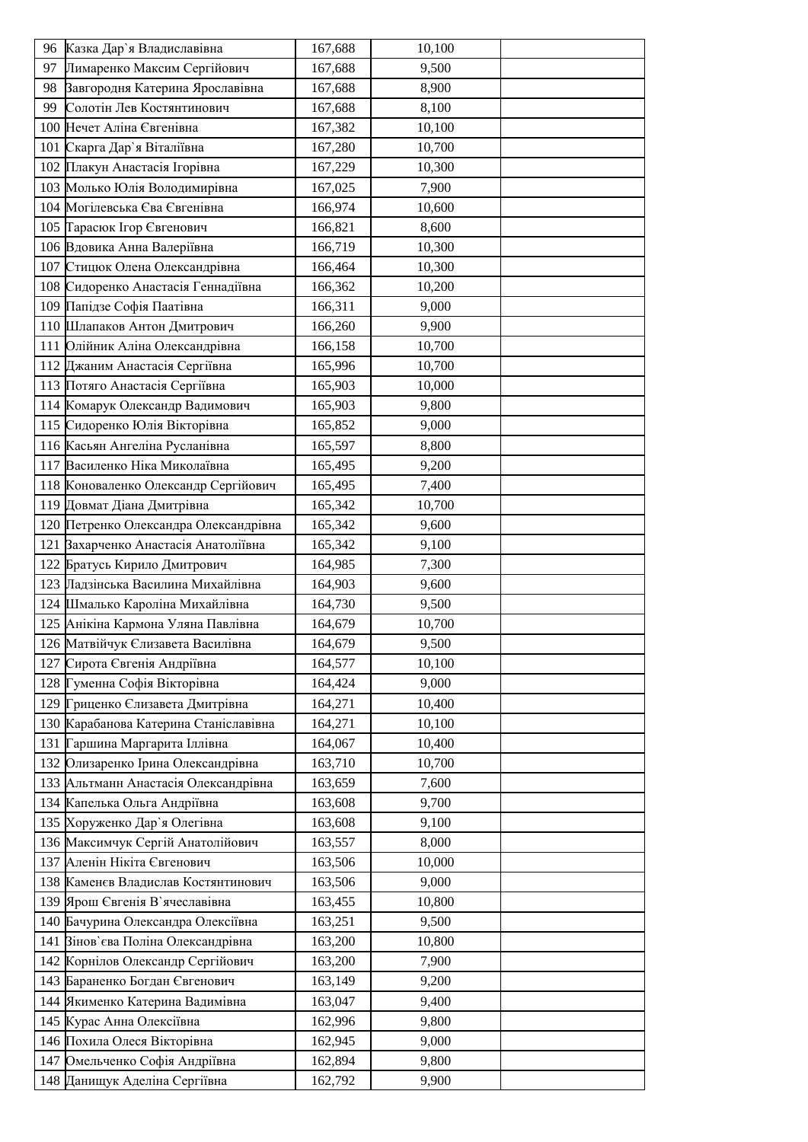|    | 96 Казка Дар'я Владиславівна          | 167,688 | 10,100 |  |
|----|---------------------------------------|---------|--------|--|
| 97 | Лимаренко Максим Сергійович           | 167,688 | 9,500  |  |
| 98 | Завгородня Катерина Ярославівна       | 167,688 | 8,900  |  |
| 99 | Солотін Лев Костянтинович             | 167,688 | 8,100  |  |
|    | 100 Нечет Аліна Євгенівна             | 167,382 | 10,100 |  |
|    | 101 Скарга Дар'я Віталіївна           | 167,280 | 10,700 |  |
|    | 102 Плакун Анастасія Ігорівна         | 167,229 | 10,300 |  |
|    | 103 Молько Юлія Володимирівна         | 167,025 | 7,900  |  |
|    | 104 Могілевська Єва Євгенівна         | 166,974 | 10,600 |  |
|    | 105 Парасюк Ігор Євгенович            | 166,821 | 8,600  |  |
|    | 106 Вдовика Анна Валеріївна           | 166,719 | 10,300 |  |
|    | 107 Стицюк Олена Олександрівна        | 166,464 | 10,300 |  |
|    | 108 Сидоренко Анастасія Геннадіївна   | 166,362 | 10,200 |  |
|    | 109 Папідзе Софія Паатівна            | 166,311 | 9,000  |  |
|    | 110 Шлапаков Антон Дмитрович          | 166,260 | 9,900  |  |
|    | 111 Олійник Аліна Олександрівна       | 166,158 | 10,700 |  |
|    | 112 Джаним Анастасія Сергіївна        | 165,996 | 10,700 |  |
|    | 113 Потяго Анастасія Сергіївна        | 165,903 | 10,000 |  |
|    | 114 Комарук Олександр Вадимович       | 165,903 | 9,800  |  |
|    | 115 Сидоренко Юлія Вікторівна         | 165,852 | 9,000  |  |
|    | 116 Касьян Ангеліна Русланівна        | 165,597 | 8,800  |  |
|    | 117 Василенко Ніка Миколаївна         | 165,495 | 9,200  |  |
|    | 118 Коноваленко Олександр Сергійович  | 165,495 | 7,400  |  |
|    | 119 Довмат Діана Дмитрівна            | 165,342 | 10,700 |  |
|    | 120 Петренко Олександра Олександрівна | 165,342 | 9,600  |  |
|    | 121 Вахарченко Анастасія Анатоліївна  | 165,342 | 9,100  |  |
|    | 122 Братусь Кирило Дмитрович          | 164,985 | 7,300  |  |
|    | 123 Ладзінська Василина Михайлівна    | 164,903 | 9,600  |  |
|    | 124 Шмалько Кароліна Михайлівна       | 164,730 | 9,500  |  |
|    | 125 Анікіна Кармона Уляна Павлівна    | 164,679 | 10,700 |  |
|    | 126 Матвійчук Єлизавета Василівна     | 164,679 | 9,500  |  |
|    | 127 Сирота Євгенія Андріївна          | 164,577 | 10,100 |  |
|    | 128 Гуменна Софія Вікторівна          | 164,424 | 9,000  |  |
|    | 129 Гриценко Єлизавета Дмитрівна      | 164,271 | 10,400 |  |
|    | 130 Карабанова Катерина Станіславівна | 164,271 | 10,100 |  |
|    | 131 Гаршина Маргарита Іллівна         | 164,067 | 10,400 |  |
|    | 132 Олизаренко Ірина Олександрівна    | 163,710 | 10,700 |  |
|    | 133 Альтманн Анастасія Олександрівна  | 163,659 | 7,600  |  |
|    | 134 Капелька Ольга Андріївна          | 163,608 | 9,700  |  |
|    | 135 Хоруженко Дар'я Олегівна          | 163,608 | 9,100  |  |
|    | 136 Максимчук Сергій Анатолійович     | 163,557 | 8,000  |  |
|    | 137 Аленін Нікіта Євгенович           | 163,506 | 10,000 |  |
|    | 138 Каменєв Владислав Костянтинович   | 163,506 | 9,000  |  |
|    | 139 Ярош Євгенія В'ячеславівна        | 163,455 | 10,800 |  |
|    | 140 Бачурина Олександра Олексіївна    | 163,251 | 9,500  |  |
|    | 141 Вінов'єва Поліна Олександрівна    | 163,200 | 10,800 |  |
|    | 142 Корнілов Олександр Сергійович     | 163,200 | 7,900  |  |
|    | 143 Бараненко Богдан Євгенович        | 163,149 | 9,200  |  |
|    | 144 Якименко Катерина Вадимівна       | 163,047 | 9,400  |  |
|    | 145 Курас Анна Олексіївна             | 162,996 | 9,800  |  |
|    | 146 Похила Олеся Вікторівна           | 162,945 | 9,000  |  |
|    | 147 Омельченко Софія Андріївна        | 162,894 | 9,800  |  |
|    | 148 Данищук Аделіна Сергіївна         | 162,792 | 9,900  |  |
|    |                                       |         |        |  |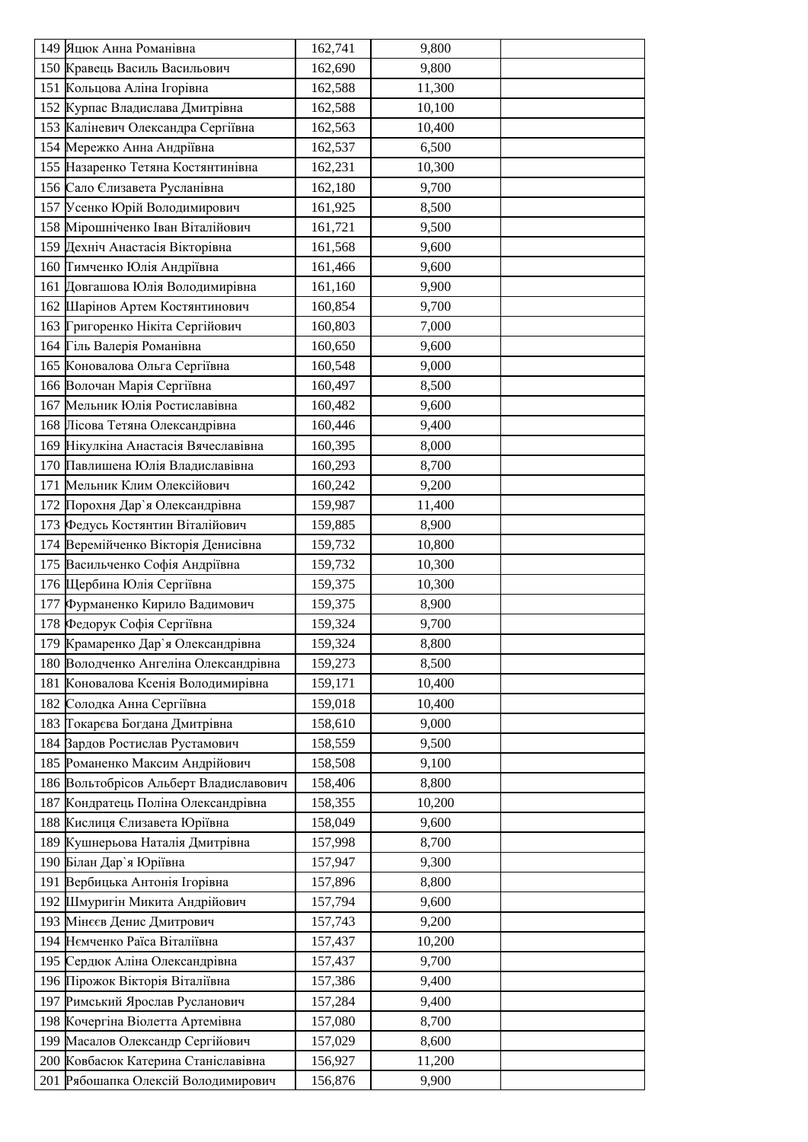| 149 Яцюк Анна Романівна                | 162,741 | 9,800  |  |
|----------------------------------------|---------|--------|--|
| 150 Кравець Василь Васильович          | 162,690 | 9,800  |  |
| 151 Кольцова Аліна Ігорівна            | 162,588 | 11,300 |  |
| 152 Курпас Владислава Дмитрівна        | 162,588 | 10,100 |  |
| 153 Каліневич Олександра Сергіївна     | 162,563 | 10,400 |  |
| 154 Мережко Анна Андріївна             | 162,537 | 6,500  |  |
| 155 Назаренко Тетяна Костянтинівна     | 162,231 | 10,300 |  |
| 156 Сало Єлизавета Русланівна          | 162,180 | 9,700  |  |
| 157 Усенко Юрій Володимирович          | 161,925 | 8,500  |  |
| 158 Мірошніченко Іван Віталійович      | 161,721 | 9,500  |  |
| 159 Дехніч Анастасія Вікторівна        | 161,568 | 9,600  |  |
| 160 Гимченко Юлія Андріївна            | 161,466 | 9,600  |  |
| 161 Довгашова Юлія Володимирівна       | 161,160 | 9,900  |  |
| 162 Шарінов Артем Костянтинович        | 160,854 | 9,700  |  |
| 163 Григоренко Нікіта Сергійович       | 160,803 | 7,000  |  |
| 164 Гіль Валерія Романівна             | 160,650 | 9,600  |  |
| 165 Коновалова Ольга Сергіївна         | 160,548 | 9,000  |  |
| 166 Волочан Марія Сергіївна            | 160,497 | 8,500  |  |
| 167 Мельник Юлія Ростиславівна         | 160,482 | 9,600  |  |
| 168 Лісова Тетяна Олександрівна        | 160,446 | 9,400  |  |
| 169 Нікулкіна Анастасія Вячеславівна   | 160,395 | 8,000  |  |
| 170 Павлишена Юлія Владиславівна       | 160,293 | 8,700  |  |
| 171 Мельник Клим Олексійович           | 160,242 | 9,200  |  |
| 172 Порохня Дар'я Олександрівна        | 159,987 | 11,400 |  |
| 173 Федусь Костянтин Віталійович       | 159,885 | 8,900  |  |
| 174 Веремійченко Вікторія Денисівна    | 159,732 | 10,800 |  |
| 175 Васильченко Софія Андріївна        | 159,732 | 10,300 |  |
| 176 Щербина Юлія Сергіївна             | 159,375 | 10,300 |  |
| 177 Фурманенко Кирило Вадимович        | 159,375 | 8,900  |  |
| 178 Федорук Софія Сергіївна            | 159,324 | 9,700  |  |
| 179 Крамаренко Дар'я Олександрівна     | 159,324 | 8,800  |  |
| 180 Володченко Ангеліна Олександрівна  | 159,273 | 8,500  |  |
| 181 Коновалова Ксенія Володимирівна    | 159,171 | 10,400 |  |
| 182 Солодка Анна Сергіївна             | 159,018 | 10,400 |  |
| 183 Гокарєва Богдана Дмитрівна         | 158,610 | 9,000  |  |
| 184 Вардов Ростислав Рустамович        | 158,559 | 9,500  |  |
| 185 Романенко Максим Андрійович        | 158,508 | 9,100  |  |
| 186 Вольтобрісов Альберт Владиславович | 158,406 | 8,800  |  |
| 187 Кондратець Поліна Олександрівна    | 158,355 | 10,200 |  |
| 188 Кислиця Єлизавета Юріївна          | 158,049 | 9,600  |  |
| 189 Кушнерьова Наталія Дмитрівна       | 157,998 | 8,700  |  |
| 190 Білан Дар'я Юріївна                | 157,947 | 9,300  |  |
| 191 Вербицька Антонія Ігорівна         | 157,896 | 8,800  |  |
| 192 Шмуригін Микита Андрійович         | 157,794 | 9,600  |  |
| 193 Мінєєв Денис Дмитрович             | 157,743 | 9,200  |  |
| 194 Немченко Раїса Віталіївна          | 157,437 | 10,200 |  |
| 195 Сердюк Аліна Олександрівна         | 157,437 | 9,700  |  |
| 196 Пірожок Вікторія Віталіївна        | 157,386 | 9,400  |  |
| 197 Римський Ярослав Русланович        | 157,284 | 9,400  |  |
| 198 Кочергіна Віолетта Артемівна       | 157,080 | 8,700  |  |
| 199 Масалов Олександр Сергійович       | 157,029 | 8,600  |  |
| 200 Ковбасюк Катерина Станіславівна    | 156,927 | 11,200 |  |
| 201 Рябошапка Олексій Володимирович    | 156,876 | 9,900  |  |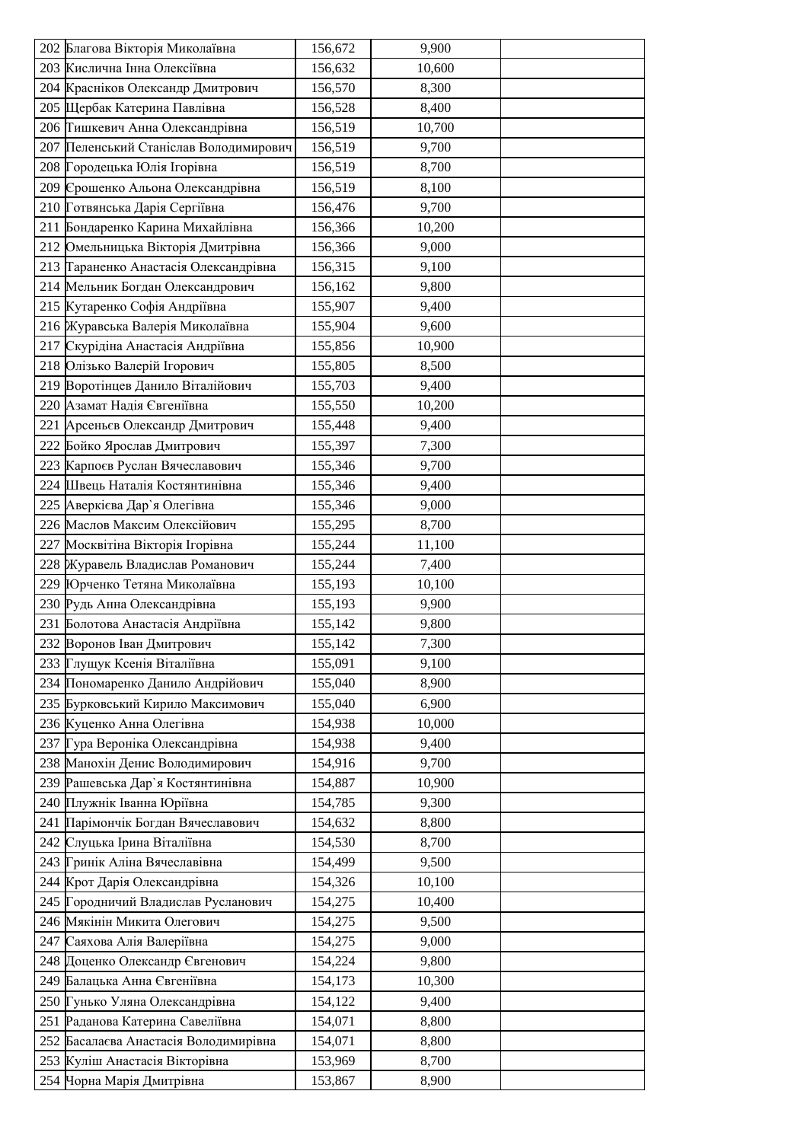|     | 202 Благова Вікторія Миколаївна                               | 156,672            | 9,900           |  |
|-----|---------------------------------------------------------------|--------------------|-----------------|--|
|     | 203 Кислична Інна Олексіївна                                  | 156,632            | 10,600          |  |
|     | 204 Красніков Олександр Дмитрович                             | 156,570            | 8,300           |  |
|     | 205 Щербак Катерина Павлівна                                  | 156,528            | 8,400           |  |
|     | 206 Тишкевич Анна Олександрівна                               | 156,519            | 10,700          |  |
|     | 207 Пеленський Станіслав Володимирович                        | 156,519            | 9,700           |  |
|     | 208 Городецька Юлія Ігорівна                                  | 156,519            | 8,700           |  |
|     | 209 Срошенко Альона Олександрівна                             | 156,519            | 8,100           |  |
|     | 210 Готвянська Дарія Сергіївна                                | 156,476            | 9,700           |  |
|     | 211 Бондаренко Карина Михайлівна                              | 156,366            | 10,200          |  |
|     | 212 Омельницька Вікторія Дмитрівна                            | 156,366            | 9,000           |  |
|     | 213 Гараненко Анастасія Олександрівна                         | 156,315            | 9,100           |  |
|     | 214 Мельник Богдан Олександрович                              | 156,162            | 9,800           |  |
|     | 215 Кутаренко Софія Андріївна                                 | 155,907            | 9,400           |  |
|     | 216 Журавська Валерія Миколаївна                              | 155,904            | 9,600           |  |
|     | 217 Скурідіна Анастасія Андріївна                             | 155,856            | 10,900          |  |
|     | 218 Олізько Валерій Ігорович                                  | 155,805            | 8,500           |  |
|     | 219 Воротінцев Данило Віталійович                             | 155,703            | 9,400           |  |
|     | 220 Азамат Надія Євгеніївна                                   | 155,550            | 10,200          |  |
|     | 221 Арсеньєв Олександр Дмитрович                              | 155,448            | 9,400           |  |
|     | 222 Бойко Ярослав Дмитрович                                   | 155,397            | 7,300           |  |
|     | 223 Карпоєв Руслан Вячеславович                               | 155,346            | 9,700           |  |
|     | 224 Швець Наталія Костянтинівна                               | 155,346            | 9,400           |  |
|     |                                                               |                    |                 |  |
|     | 225 Аверкієва Дар'я Олегівна<br>226 Маслов Максим Олексійович | 155,346<br>155,295 | 9,000           |  |
|     |                                                               |                    | 8,700           |  |
| 227 | Москвітіна Вікторія Ігорівна                                  | 155,244            | 11,100          |  |
|     | 228 Журавель Владислав Романович                              | 155,244            | 7,400           |  |
|     | 229 Юрченко Тетяна Миколаївна<br>230 Рудь Анна Олександрівна  | 155,193<br>155,193 | 10,100<br>9,900 |  |
|     | 231 Болотова Анастасія Андріївна                              | 155,142            | 9,800           |  |
|     | 232 Воронов Іван Дмитрович                                    | 155,142            | 7,300           |  |
|     | 233 Глущук Ксенія Віталіївна                                  | 155,091            | 9,100           |  |
|     |                                                               |                    |                 |  |
|     | 234 Пономаренко Данило Андрійович                             | 155,040            | 8,900           |  |
|     | 235 Бурковський Кирило Максимович                             | 155,040            | 6,900           |  |
|     | 236 Куценко Анна Олегівна                                     | 154,938            | 10,000          |  |
|     | 237 Гура Вероніка Олександрівна                               | 154,938            | 9,400           |  |
|     | 238 Манохін Денис Володимирович                               | 154,916            | 9,700           |  |
|     | 239 Рашевська Дар'я Костянтинівна                             | 154,887            | 10,900          |  |
|     | 240 Плужнік Іванна Юріївна                                    | 154,785            | 9,300           |  |
|     | 241 Парімончік Богдан Вячеславович                            | 154,632            | 8,800           |  |
|     | 242 Слуцька Ірина Віталіївна                                  | 154,530            | 8,700           |  |
|     | 243 Гринік Аліна Вячеславівна                                 | 154,499            | 9,500           |  |
|     | 244 Крот Дарія Олександрівна                                  | 154,326            | 10,100          |  |
|     | 245 Городничий Владислав Русланович                           | 154,275            | 10,400          |  |
|     | 246 Мякінін Микита Олегович                                   | 154,275            | 9,500           |  |
|     | 247 Саяхова Алія Валеріївна                                   | 154,275            | 9,000           |  |
|     | 248 Доценко Олександр Євгенович                               | 154,224            | 9,800           |  |
|     | 249 Балацька Анна Євгеніївна                                  | 154,173            | 10,300          |  |
|     | 250 Гунько Уляна Олександрівна                                | 154,122            | 9,400           |  |
|     | 251 Раданова Катерина Савеліївна                              | 154,071            | 8,800           |  |
|     | 252 Басалаєва Анастасія Володимирівна                         | 154,071            | 8,800           |  |
|     | 253 Куліш Анастасія Вікторівна                                | 153,969            | 8,700           |  |
|     | 254 Чорна Марія Дмитрівна                                     | 153,867            | 8,900           |  |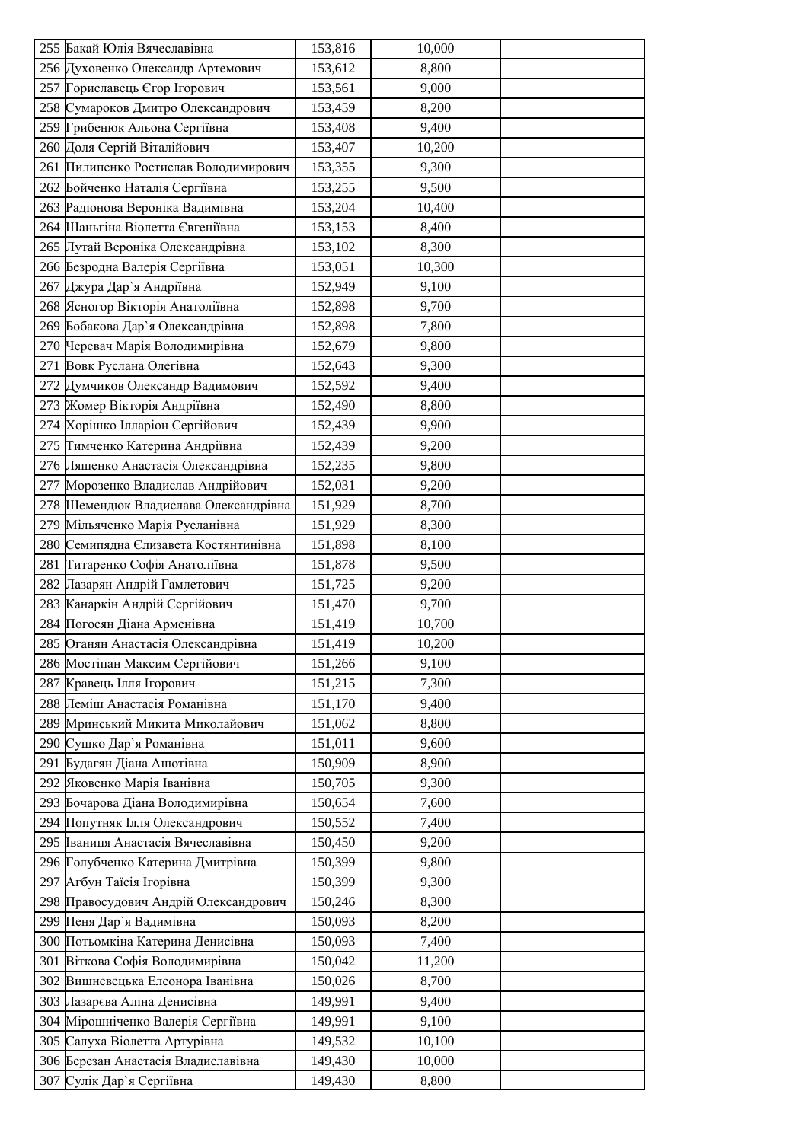|     | 255 Бакай Юлія Вячеславівна           | 153,816 | 10,000 |  |
|-----|---------------------------------------|---------|--------|--|
|     | 256 Духовенко Олександр Артемович     | 153,612 | 8,800  |  |
|     | 257 Гориславець Єгор Ігорович         | 153,561 | 9,000  |  |
|     | 258 Сумароков Дмитро Олександрович    | 153,459 | 8,200  |  |
|     | 259 Грибенюк Альона Сергіївна         | 153,408 | 9,400  |  |
|     | 260 Доля Сергій Віталійович           | 153,407 | 10,200 |  |
|     | 261 Пилипенко Ростислав Володимирович | 153,355 | 9,300  |  |
|     | 262 Бойченко Наталія Сергіївна        | 153,255 | 9,500  |  |
|     | 263 Радіонова Вероніка Вадимівна      | 153,204 | 10,400 |  |
|     | 264 Шаньгіна Віолетта Євгеніївна      | 153,153 | 8,400  |  |
|     | 265 Лутай Вероніка Олександрівна      | 153,102 | 8,300  |  |
|     | 266 Безродна Валерія Сергіївна        | 153,051 | 10,300 |  |
|     | 267 Джура Дар'я Андріївна             | 152,949 | 9,100  |  |
|     | 268 Ясногор Вікторія Анатоліївна      | 152,898 | 9,700  |  |
|     | 269 Бобакова Дар'я Олександрівна      | 152,898 | 7,800  |  |
|     | 270 Черевач Марія Володимирівна       | 152,679 | 9,800  |  |
|     | 271 Вовк Руслана Олегівна             | 152,643 | 9,300  |  |
|     | 272 Думчиков Олександр Вадимович      | 152,592 | 9,400  |  |
|     | 273 Жомер Вікторія Андріївна          | 152,490 | 8,800  |  |
|     | 274 Хорішко Ілларіон Сергійович       | 152,439 | 9,900  |  |
|     | 275 Гимченко Катерина Андріївна       | 152,439 | 9,200  |  |
|     | 276 Ляшенко Анастасія Олександрівна   | 152,235 | 9,800  |  |
|     | 277 Морозенко Владислав Андрійович    | 152,031 | 9,200  |  |
|     | 278 Шемендюк Владислава Олександрівна | 151,929 | 8,700  |  |
|     | 279 Мільяченко Марія Русланівна       | 151,929 | 8,300  |  |
|     | 280 Семипядна Єлизавета Костянтинівна | 151,898 | 8,100  |  |
|     | 281 Титаренко Софія Анатоліївна       | 151,878 | 9,500  |  |
|     | 282 Лазарян Андрій Гамлетович         | 151,725 | 9,200  |  |
|     | 283 Канаркін Андрій Сергійович        | 151,470 | 9,700  |  |
| 284 | Погосян Діана Арменівна               | 151,419 | 10,700 |  |
|     | 285 Оганян Анастасія Олександрівна    | 151,419 | 10,200 |  |
|     | 286 Мостіпан Максим Сергійович        | 151,266 | 9,100  |  |
|     | 287 Кравець Ілля Ігорович             | 151,215 | 7,300  |  |
|     | 288 Леміш Анастасія Романівна         | 151,170 | 9,400  |  |
|     | 289 Мринський Микита Миколайович      | 151,062 | 8,800  |  |
|     | 290 Сушко Дар'я Романівна             | 151,011 | 9,600  |  |
|     | 291 Будагян Діана Ашотівна            | 150,909 | 8,900  |  |
|     | 292 Яковенко Марія Іванівна           | 150,705 | 9,300  |  |
|     | 293 Бочарова Діана Володимирівна      | 150,654 | 7,600  |  |
|     | 294 Попутняк Ілля Олександрович       | 150,552 | 7,400  |  |
|     | 295 Іваниця Анастасія Вячеславівна    | 150,450 | 9,200  |  |
|     | 296 Голубченко Катерина Дмитрівна     | 150,399 | 9,800  |  |
|     | 297 Агбун Таїсія Ігорівна             | 150,399 | 9,300  |  |
|     | 298 Правосудович Андрій Олександрович | 150,246 | 8,300  |  |
|     | 299 Пеня Дар'я Вадимівна              | 150,093 | 8,200  |  |
|     | 300 Потьомкіна Катерина Денисівна     | 150,093 | 7,400  |  |
|     | 301 Віткова Софія Володимирівна       | 150,042 | 11,200 |  |
|     | 302 Вишневецька Елеонора Іванівна     | 150,026 | 8,700  |  |
|     | 303 Пазарєва Аліна Денисівна          | 149,991 | 9,400  |  |
|     | 304 Мірошніченко Валерія Сергіївна    | 149,991 | 9,100  |  |
|     | 305 Салуха Віолетта Артурівна         | 149,532 | 10,100 |  |
|     | 306 Березан Анастасія Владиславівна   | 149,430 | 10,000 |  |
|     | 307 Сулік Дар'я Сергіївна             | 149,430 | 8,800  |  |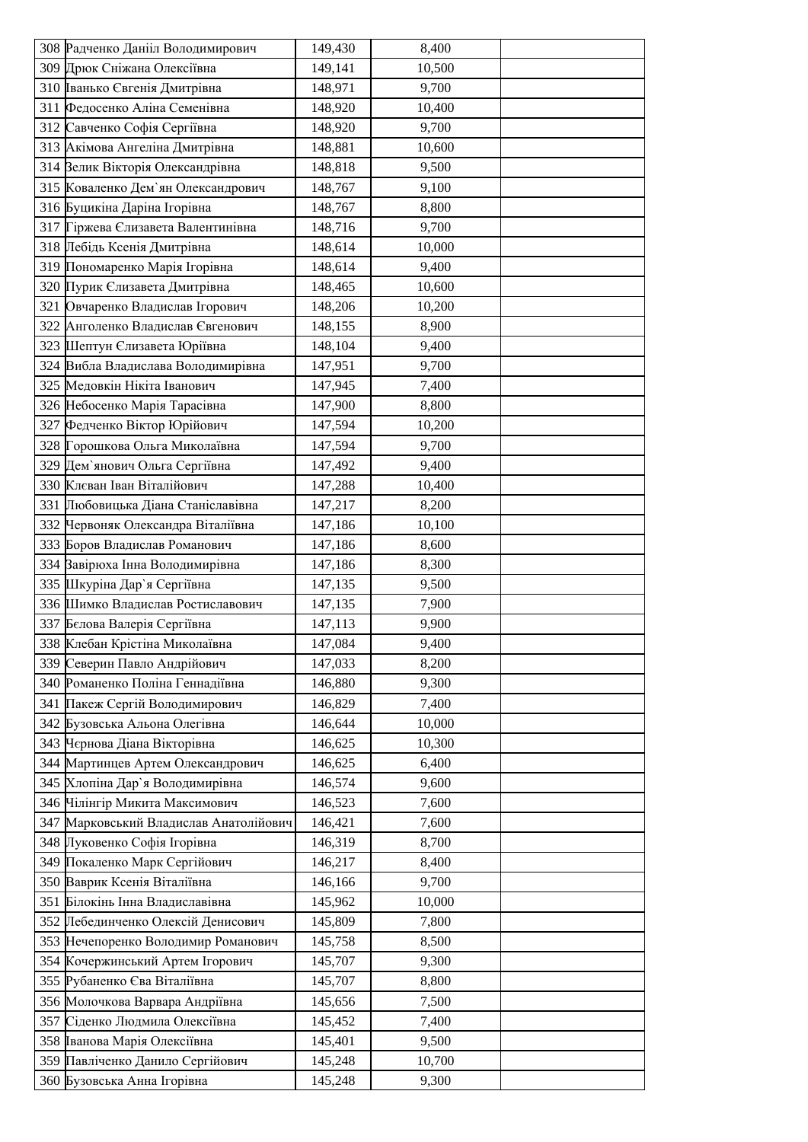| 308 Радченко Данііл Володимирович      | 149,430 | 8,400  |  |
|----------------------------------------|---------|--------|--|
| 309 Дрюк Сніжана Олексіївна            | 149,141 | 10,500 |  |
| 310 Іванько Євгенія Дмитрівна          | 148,971 | 9,700  |  |
| 311 Федосенко Аліна Семенівна          | 148,920 | 10,400 |  |
| 312 Савченко Софія Сергіївна           | 148,920 | 9,700  |  |
| 313 Акімова Ангеліна Дмитрівна         | 148,881 | 10,600 |  |
| 314 Велик Вікторія Олександрівна       | 148,818 | 9,500  |  |
| 315 Коваленко Дем'ян Олександрович     | 148,767 | 9,100  |  |
| 316 Буцикіна Даріна Ігорівна           | 148,767 | 8,800  |  |
| 317 Гіржева Єлизавета Валентинівна     | 148,716 | 9,700  |  |
| 318 Лебідь Ксенія Дмитрівна            | 148,614 | 10,000 |  |
| 319 Пономаренко Марія Ігорівна         | 148,614 | 9,400  |  |
| 320 Пурик Єлизавета Дмитрівна          | 148,465 | 10,600 |  |
| 321 Овчаренко Владислав Ігорович       | 148,206 | 10,200 |  |
| 322 Анголенко Владислав Євгенович      | 148,155 | 8,900  |  |
| 323 Шептун Єлизавета Юріївна           | 148,104 | 9,400  |  |
| 324 Вибла Владислава Володимирівна     | 147,951 | 9,700  |  |
| 325 Медовкін Нікіта Іванович           | 147,945 | 7,400  |  |
| 326 Небосенко Марія Тарасівна          | 147,900 | 8,800  |  |
| 327 Федченко Віктор Юрійович           | 147,594 | 10,200 |  |
| 328 Горошкова Ольга Миколаївна         | 147,594 | 9,700  |  |
| 329 Дем'янович Ольга Сергіївна         | 147,492 | 9,400  |  |
| 330 Клєван Іван Віталійович            | 147,288 | 10,400 |  |
| 331 Любовицька Діана Станіславівна     | 147,217 | 8,200  |  |
| 332 Червоняк Олександра Віталіївна     | 147,186 | 10,100 |  |
| 333 Боров Владислав Романович          | 147,186 | 8,600  |  |
| 334 Вавірюха Інна Володимирівна        | 147,186 | 8,300  |  |
| 335 Шкуріна Дар'я Сергіївна            | 147,135 | 9,500  |  |
| 336 Шимко Владислав Ростиславович      | 147,135 | 7,900  |  |
| 337 Бєлова Валерія Сергіївна           | 147,113 | 9,900  |  |
| 338 Клебан Крістіна Миколаївна         | 147,084 | 9,400  |  |
| 339 Северин Павло Андрійович           | 147,033 | 8,200  |  |
| 340 Романенко Поліна Геннадіївна       | 146,880 | 9,300  |  |
| 341 Пакеж Сергій Володимирович         | 146,829 | 7,400  |  |
| 342 Бузовська Альона Олегівна          | 146,644 | 10,000 |  |
| 343 Чернова Діана Вікторівна           | 146,625 | 10,300 |  |
| 344 Мартинцев Артем Олександрович      | 146,625 | 6,400  |  |
| 345 Хлопіна Дар'я Володимирівна        | 146,574 | 9,600  |  |
| 346 Чілінгір Микита Максимович         | 146,523 | 7,600  |  |
| 347 Марковський Владислав Анатолійович | 146,421 | 7,600  |  |
| 348 Луковенко Софія Ігорівна           | 146,319 | 8,700  |  |
| 349 Покаленко Марк Сергійович          | 146,217 | 8,400  |  |
| 350 Ваврик Ксенія Віталіївна           | 146,166 | 9,700  |  |
| 351 Білокінь Інна Владиславівна        | 145,962 | 10,000 |  |
| 352 Пебединченко Олексій Денисович     | 145,809 | 7,800  |  |
| 353 Нечепоренко Володимир Романович    | 145,758 | 8,500  |  |
| 354 Кочержинський Артем Ігорович       | 145,707 | 9,300  |  |
| 355 Рубаненко Єва Віталіївна           | 145,707 | 8,800  |  |
| 356 Молочкова Варвара Андріївна        | 145,656 | 7,500  |  |
| 357 Сіденко Людмила Олексіївна         | 145,452 | 7,400  |  |
| 358 Іванова Марія Олексіївна           | 145,401 | 9,500  |  |
| 359 Павліченко Данило Сергійович       | 145,248 | 10,700 |  |
| 360 Бузовська Анна Ігорівна            | 145,248 | 9,300  |  |
|                                        |         |        |  |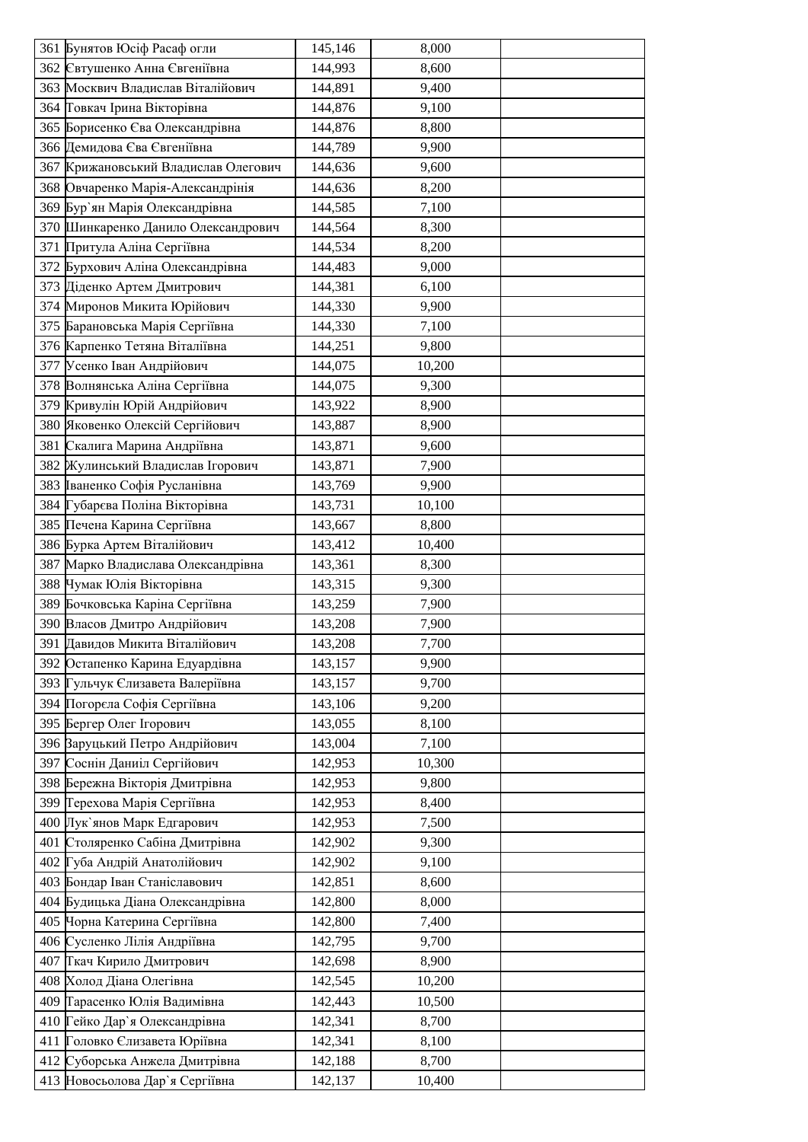|     | 361 Бунятов Юсіф Расаф огли          | 145,146 | 8,000  |  |
|-----|--------------------------------------|---------|--------|--|
|     | 362 Євтушенко Анна Євгеніївна        | 144,993 | 8,600  |  |
|     | 363 Москвич Владислав Віталійович    | 144,891 | 9,400  |  |
|     | 364 Говкач Ірина Вікторівна          | 144,876 | 9,100  |  |
|     | 365 Борисенко Єва Олександрівна      | 144,876 | 8,800  |  |
|     | 366 Демидова Єва Євгеніївна          | 144,789 | 9,900  |  |
|     | 367 Крижановський Владислав Олегович | 144,636 | 9,600  |  |
|     | 368 Овчаренко Марія-Александрінія    | 144,636 | 8,200  |  |
|     | 369 Бур'ян Марія Олександрівна       | 144,585 | 7,100  |  |
|     | 370 Шинкаренко Данило Олександрович  | 144,564 | 8,300  |  |
|     | 371 Притула Аліна Сергіївна          | 144,534 | 8,200  |  |
|     | 372 Бурхович Аліна Олександрівна     | 144,483 | 9,000  |  |
|     | 373 Діденко Артем Дмитрович          | 144,381 | 6,100  |  |
|     | 374 Миронов Микита Юрійович          | 144,330 | 9,900  |  |
|     | 375 Барановська Марія Сергіївна      | 144,330 | 7,100  |  |
|     | 376 Карпенко Тетяна Віталіївна       | 144,251 | 9,800  |  |
|     | 377 Усенко Іван Андрійович           | 144,075 | 10,200 |  |
|     | 378 Волнянська Аліна Сергіївна       | 144,075 | 9,300  |  |
|     | 379 Кривулін Юрій Андрійович         | 143,922 | 8,900  |  |
|     | 380 Яковенко Олексій Сергійович      | 143,887 | 8,900  |  |
| 381 | Скалига Марина Андріївна             | 143,871 | 9,600  |  |
|     | 382 Жулинський Владислав Ігорович    | 143,871 | 7,900  |  |
|     | 383 Іваненко Софія Русланівна        | 143,769 | 9,900  |  |
|     | 384 Губарєва Поліна Вікторівна       | 143,731 | 10,100 |  |
|     | 385 Печена Карина Сергіївна          | 143,667 | 8,800  |  |
|     | 386 Бурка Артем Віталійович          | 143,412 | 10,400 |  |
|     | 387 Марко Владислава Олександрівна   | 143,361 | 8,300  |  |
|     | 388 Чумак Юлія Вікторівна            | 143,315 | 9,300  |  |
|     | 389 Бочковська Каріна Сергіївна      | 143,259 | 7,900  |  |
|     | 390 Власов Дмитро Андрійович         | 143,208 | 7,900  |  |
|     | 391 Давидов Микита Віталійович       | 143,208 | 7,700  |  |
|     | 392 Остапенко Карина Едуардівна      | 143,157 | 9,900  |  |
|     | 393 Гульчук Єлизавета Валеріївна     | 143,157 | 9,700  |  |
|     | 394 Погорела Софія Сергіївна         | 143,106 | 9,200  |  |
|     | 395 Бергер Олег Ігорович             | 143,055 | 8,100  |  |
|     | 396 Варуцький Петро Андрійович       | 143,004 | 7,100  |  |
|     | 397 Соснін Даниіл Сергійович         | 142,953 | 10,300 |  |
|     | 398 Бережна Вікторія Дмитрівна       | 142,953 | 9,800  |  |
|     | 399 Герехова Марія Сергіївна         | 142,953 | 8,400  |  |
|     | 400 Лук'янов Марк Едгарович          | 142,953 | 7,500  |  |
|     | 401 Столяренко Сабіна Дмитрівна      | 142,902 | 9,300  |  |
|     | 402 Губа Андрій Анатолійович         | 142,902 | 9,100  |  |
|     | 403 Бондар Іван Станіславович        | 142,851 | 8,600  |  |
|     | 404 Будицька Діана Олександрівна     | 142,800 | 8,000  |  |
|     | 405 Чорна Катерина Сергіївна         | 142,800 | 7,400  |  |
|     | 406 Сусленко Лілія Андріївна         | 142,795 | 9,700  |  |
|     | 407 Гкач Кирило Дмитрович            | 142,698 | 8,900  |  |
|     | 408 Холод Діана Олегівна             | 142,545 | 10,200 |  |
|     | 409 Тарасенко Юлія Вадимівна         | 142,443 | 10,500 |  |
|     | 410 Гейко Дар'я Олександрівна        | 142,341 | 8,700  |  |
| 411 | Головко Єлизавета Юріївна            | 142,341 | 8,100  |  |
|     | 412 Суборська Анжела Дмитрівна       | 142,188 | 8,700  |  |
|     | 413 Новосьолова Дар'я Сергіївна      | 142,137 | 10,400 |  |
|     |                                      |         |        |  |